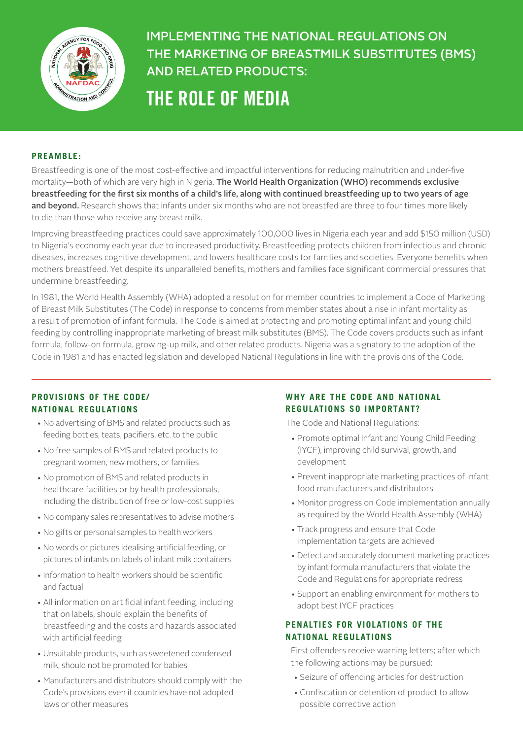

# IMPLEMENTING THE NATIONAL REGULATIONS ON THE MARKETING OF BREASTMILK SUBSTITUTES (BMS) AND RELATED PRODUCTS: THE ROLE OF MEDIA

#### **PREAMBLE:**

Breastfeeding is one of the most cost-effective and impactful interventions for reducing malnutrition and under-five mortality—both of which are very high in Nigeria. The World Health Organization (WHO) recommends exclusive breastfeeding for the first six months of a child's life, along with continued breastfeeding up to two years of age and beyond. Research shows that infants under six months who are not breastfed are three to four times more likely to die than those who receive any breast milk.

Improving breastfeeding practices could save approximately 100,000 lives in Nigeria each year and add \$150 million (USD) to Nigeria's economy each year due to increased productivity. Breastfeeding protects children from infectious and chronic diseases, increases cognitive development, and lowers healthcare costs for families and societies. Everyone benefits when mothers breastfeed. Yet despite its unparalleled benefits, mothers and families face significant commercial pressures that undermine breastfeeding.

In 1981, the World Health Assembly (WHA) adopted a resolution for member countries to implement a Code of Marketing of Breast Milk Substitutes (The Code) in response to concerns from member states about a rise in infant mortality as a result of promotion of infant formula. The Code is aimed at protecting and promoting optimal infant and young child feeding by controlling inappropriate marketing of breast milk substitutes (BMS). The Code covers products such as infant formula, follow-on formula, growing-up milk, and other related products. Nigeria was a signatory to the adoption of the Code in 1981 and has enacted legislation and developed National Regulations in line with the provisions of the Code.

### **PROVISIONS OF THE CODE/ NATIONAL REGULATIONS**

- No advertising of BMS and related products such as feeding bottles, teats, pacifiers, etc. to the public
- No free samples of BMS and related products to pregnant women, new mothers, or families
- No promotion of BMS and related products in healthcare facilities or by health professionals, including the distribution of free or low-cost supplies
- No company sales representatives to advise mothers
- No gifts or personal samples to health workers
- No words or pictures idealising artificial feeding, or pictures of infants on labels of infant milk containers
- Information to health workers should be scientific and factual
- All information on artificial infant feeding, including that on labels, should explain the benefits of breastfeeding and the costs and hazards associated with artificial feeding
- Unsuitable products, such as sweetened condensed milk, should not be promoted for babies
- Manufacturers and distributors should comply with the Code's provisions even if countries have not adopted laws or other measures

# **WHY ARE THE CODE AND NATIONAL REGULATIONS SO IMPORTANT?**

The Code and National Regulations:

- Promote optimal Infant and Young Child Feeding (IYCF), improving child survival, growth, and development
- Prevent inappropriate marketing practices of infant food manufacturers and distributors
- Monitor progress on Code implementation annually as required by the World Health Assembly (WHA)
- Track progress and ensure that Code implementation targets are achieved
- Detect and accurately document marketing practices by infant formula manufacturers that violate the Code and Regulations for appropriate redress
- Support an enabling environment for mothers to adopt best IYCF practices

# **PENALTIES FOR VIOLATIONS OF THE NATIONAL REGULATIONS**

First offenders receive warning letters; after which the following actions may be pursued:

- Seizure of offending articles for destruction
- Confiscation or detention of product to allow possible corrective action